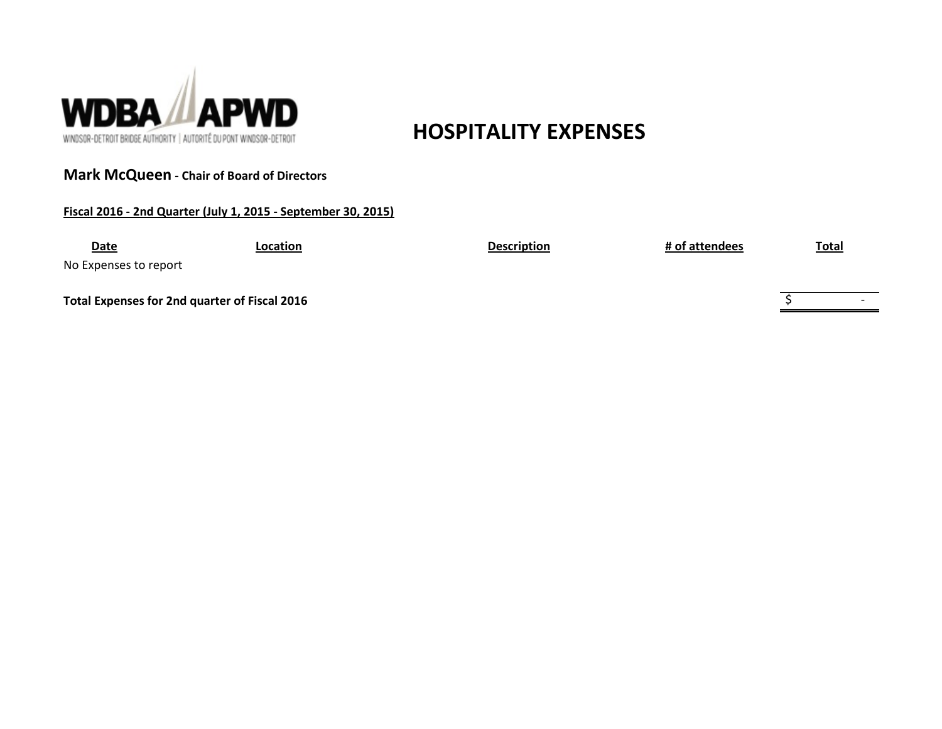

**Mark McQueen - Chair of Board of Directors**

**Fiscal 2016 - 2nd Quarter (July 1, 2015 - September 30, 2015)**

# **HOSPITALITY EXPENSES**

## **Date Location Description # of attendees Total**

No Expenses to report

**Total Expenses for 2nd quarter of Fiscal 2016**

 $\overline{\xi}$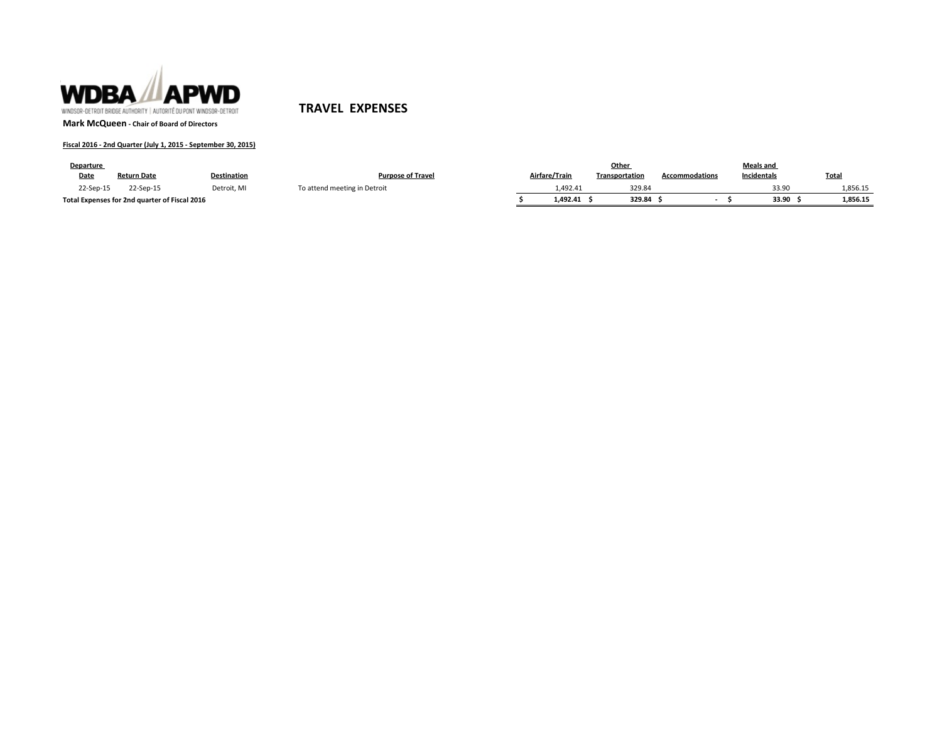

**TRAVEL EXPENSES**

**Mark McQueen - Chair of Board of Directors**

#### **Fiscal 2016 - 2nd Quarter (July 1, 2015 - September 30, 2015)**

| Departure |                                               |                    |                              |               | Other          |                       | <b>Meals and</b> |                   |
|-----------|-----------------------------------------------|--------------------|------------------------------|---------------|----------------|-----------------------|------------------|-------------------|
| Date      | <b>Return Date</b>                            | <b>Destination</b> | <b>Purpose of Travel</b>     | Airfare/Train | Transportation | <b>Accommodations</b> | Incidentals      | <b>Total</b>      |
| 22-Sep-15 | 22-Sep-15                                     | Detroit. MI        | To attend meeting in Detroit | 1.492.41      | 329.84         |                       |                  | 33.90<br>.,856.15 |
|           | Total Expenses for 2nd quarter of Fiscal 2016 |                    |                              | 1.492.41      | 329.84         |                       |                  | 33.90<br>1,856.15 |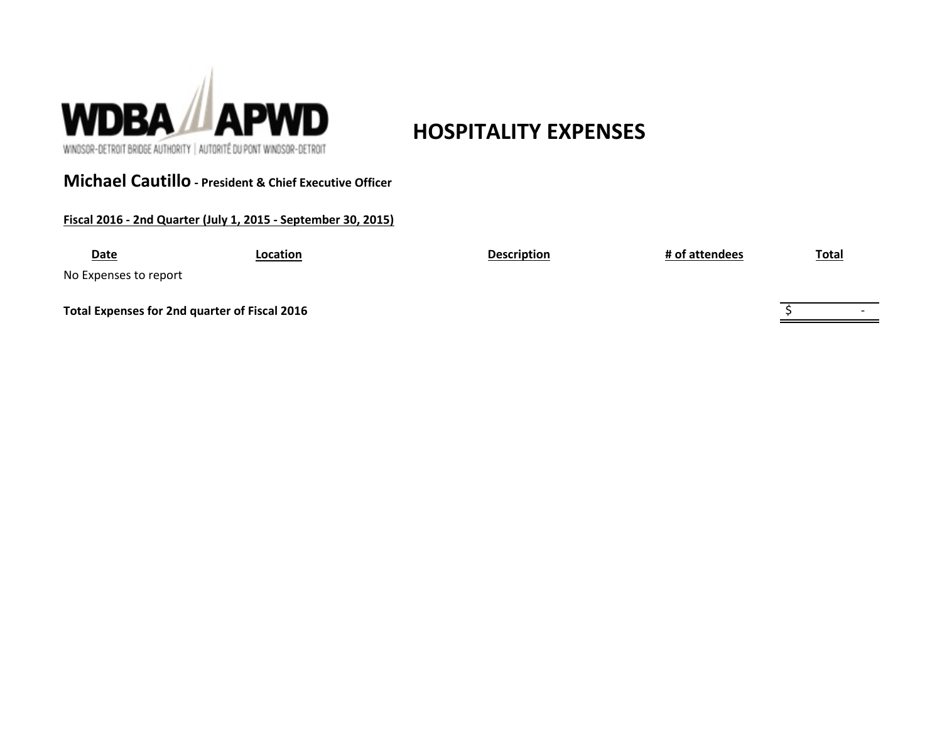

# **HOSPITALITY EXPENSES**

WINDSOR-DETROIT BRIDGE AUTHORITY | AUTORITÉ DU PONT WINDSOR-DETROIT

## **Michael Cautillo - President & Chief Executive Officer**

**Fiscal 2016 - 2nd Quarter (July 1, 2015 - September 30, 2015)**

| <b>Date</b>           | Location                                      | <b>Description</b> | # of attendees | <b>Total</b>             |
|-----------------------|-----------------------------------------------|--------------------|----------------|--------------------------|
| No Expenses to report |                                               |                    |                |                          |
|                       | Total Expenses for 2nd quarter of Fiscal 2016 |                    |                | $\overline{\phantom{0}}$ |